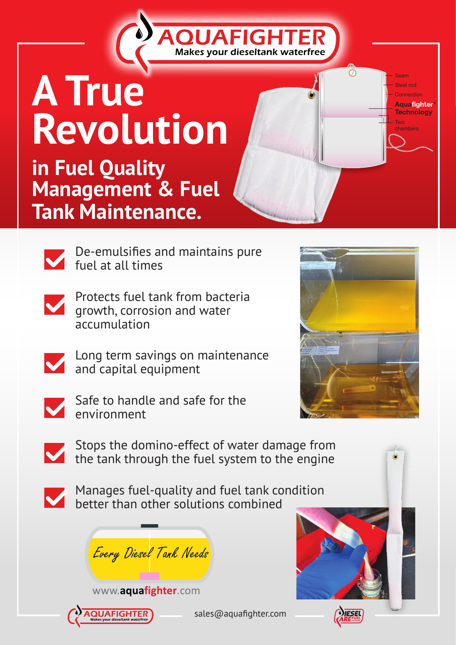## **A True Revolution**

**in Fuel Quality Management & Fuel Tank Maintenance.** 

> De-emulsifies and maintains pure fuel at all times

**QUAFIGI** 

Makes your dieseltank waterfree

Protects fuel tank from bacteria growth, corrosion and water accumulation

Long term savings on maintenance and capital equipment



Safe to handle and safe for the environment



Seam Steel rod **Connection Aquafighter® Technology** 

 $\overline{C}$ 

Two

Stops the domino-effect of water damage from the tank through the fuel system to the engine

Manages fuel-quality and fuel tank condition better than other solutions combined

Every Diesel Tank Needs





sales@aquafighter.com